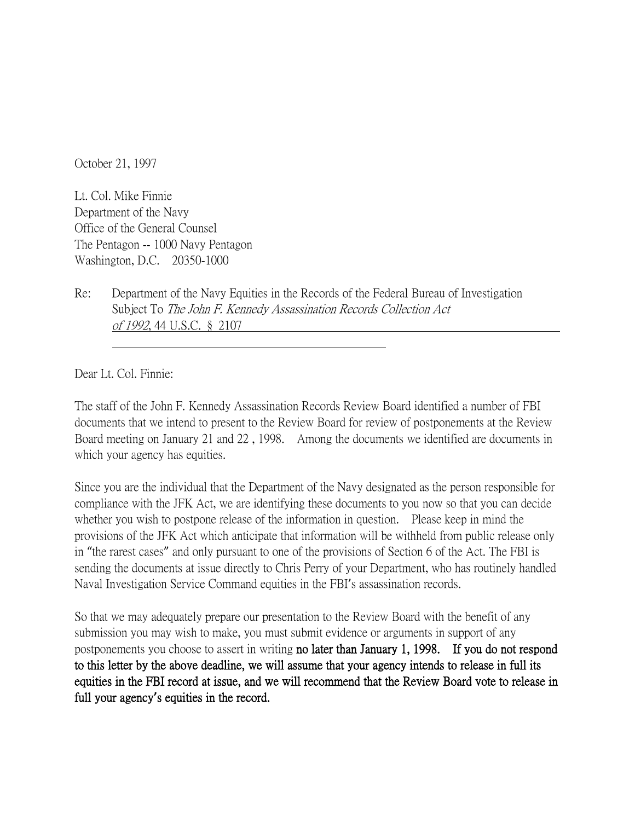October 21, 1997

Lt. Col. Mike Finnie Department of the Navy Office of the General Counsel The Pentagon -- 1000 Navy Pentagon Washington, D.C. 20350-1000

Re: Department of the Navy Equities in the Records of the Federal Bureau of Investigation Subject To The John F. Kennedy Assassination Records Collection Act of 1992, 44 U.S.C. § 2107

Dear Lt. Col. Finnie:

The staff of the John F. Kennedy Assassination Records Review Board identified a number of FBI documents that we intend to present to the Review Board for review of postponements at the Review Board meeting on January 21 and 22 , 1998. Among the documents we identified are documents in which your agency has equities.

Since you are the individual that the Department of the Navy designated as the person responsible for compliance with the JFK Act, we are identifying these documents to you now so that you can decide whether you wish to postpone release of the information in question. Please keep in mind the provisions of the JFK Act which anticipate that information will be withheld from public release only in "the rarest cases" and only pursuant to one of the provisions of Section 6 of the Act. The FBI is sending the documents at issue directly to Chris Perry of your Department, who has routinely handled Naval Investigation Service Command equities in the FBI's assassination records.

So that we may adequately prepare our presentation to the Review Board with the benefit of any submission you may wish to make, you must submit evidence or arguments in support of any postponements you choose to assert in writing no later than January 1, 1998. If you do not respond to this letter by the above deadline, we will assume that your agency intends to release in full its equities in the FBI record at issue, and we will recommend that the Review Board vote to release in full your agency**'**s equities in the record.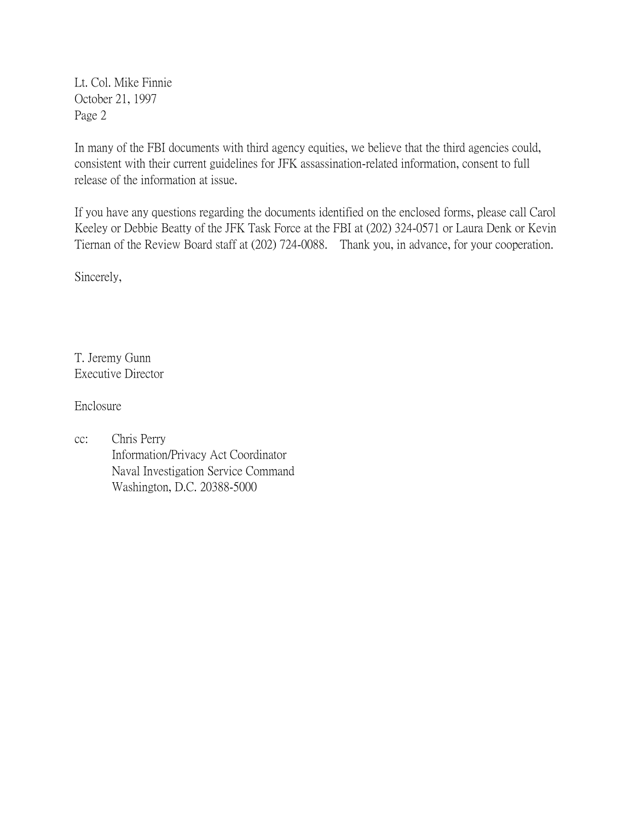Lt. Col. Mike Finnie October 21, 1997 Page 2

In many of the FBI documents with third agency equities, we believe that the third agencies could, consistent with their current guidelines for JFK assassination-related information, consent to full release of the information at issue.

If you have any questions regarding the documents identified on the enclosed forms, please call Carol Keeley or Debbie Beatty of the JFK Task Force at the FBI at (202) 324-0571 or Laura Denk or Kevin Tiernan of the Review Board staff at (202) 724-0088. Thank you, in advance, for your cooperation.

Sincerely,

T. Jeremy Gunn Executive Director

Enclosure

cc: Chris Perry Information/Privacy Act Coordinator Naval Investigation Service Command Washington, D.C. 20388-5000